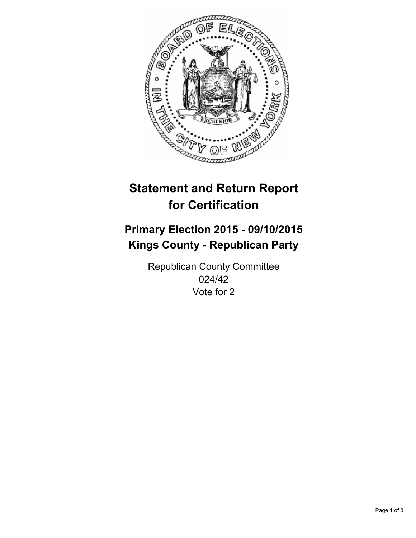

# **Statement and Return Report for Certification**

## **Primary Election 2015 - 09/10/2015 Kings County - Republican Party**

Republican County Committee 024/42 Vote for 2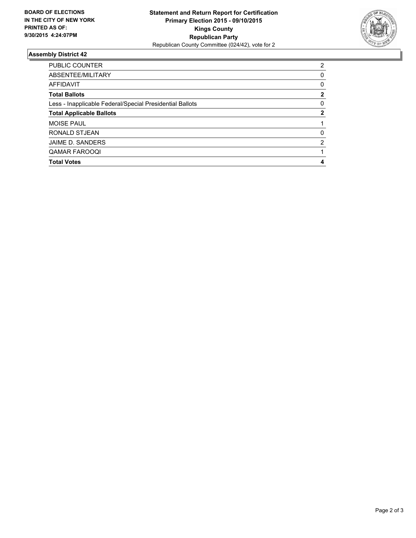

### **Assembly District 42**

| <b>PUBLIC COUNTER</b>                                    | 2 |
|----------------------------------------------------------|---|
| ABSENTEE/MILITARY                                        | 0 |
| <b>AFFIDAVIT</b>                                         | 0 |
| <b>Total Ballots</b>                                     | 2 |
| Less - Inapplicable Federal/Special Presidential Ballots | 0 |
| <b>Total Applicable Ballots</b>                          | 2 |
| <b>MOISE PAUL</b>                                        |   |
| RONALD STJEAN                                            | 0 |
| JAIME D. SANDERS                                         | 2 |
| <b>QAMAR FAROOQI</b>                                     |   |
| <b>Total Votes</b>                                       | 4 |